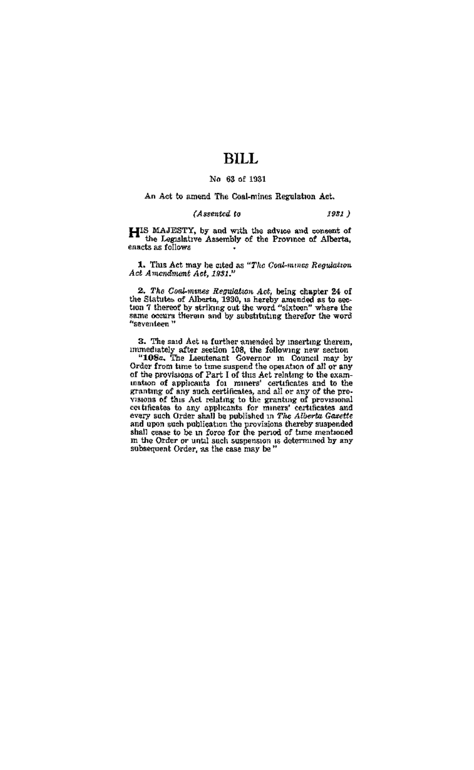## BILL.

### No. 63 of 1931

#### An Act to smood The Coal-mines Remistion Act.

#### **Channel to**  $1981.1$

HIS MAJESTY, by and with the advice and consent of the Legislative Assembly of the Province of Alberta, enacts as follows

1. This Act may be cited as "The Cost-sames Regulation Act Amendment Act. 1981.

2. The Cont-musses Regulation Act, being chapter 24 of<br>the Statutes of Alberta, 1930, is hereby amended as to sec-<br>tion 7 thereof by striking out the word "sixtoon" where the same occurs therein and by substituting therefor the word "sixteen" where the<br>"seventeen" "seventeen"

3. The said Act is further aniended by inserting therein, immediately after section 108, the following new section "108a. The Lieutenant Governor in Council may by

Order from time to time suspend the operation of all or any<br>of the provisions of Part I of this Act relating to the examunation of applicants for miners' certificates and to the undoor of applicants for moment contributions and the theory system grading of the pre-valued of the system of the pre-valued of the system of the system of the contribution of the system of the system of the system of th